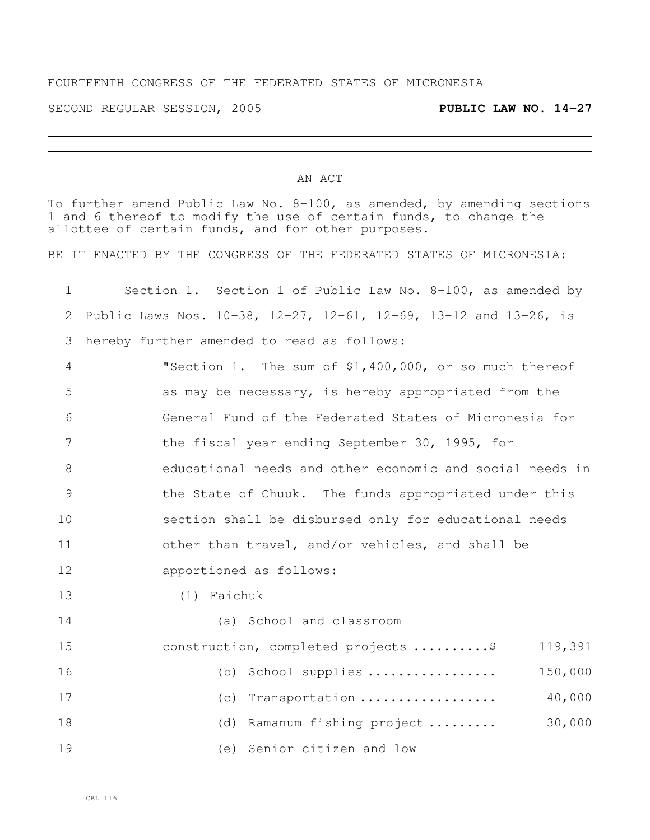## FOURTEENTH CONGRESS OF THE FEDERATED STATES OF MICRONESIA

SECOND REGULAR SESSION, 2005 **PUBLIC LAW NO. 14-27**

## AN ACT

To further amend Public Law No. 8-100, as amended, by amending sections 1 and 6 thereof to modify the use of certain funds, to change the allottee of certain funds, and for other purposes.

BE IT ENACTED BY THE CONGRESS OF THE FEDERATED STATES OF MICRONESIA:

| $\mathbf 1$    | Section 1. Section 1 of Public Law No. 8-100, as amended by      |
|----------------|------------------------------------------------------------------|
| 2              | Public Laws Nos. 10-38, 12-27, 12-61, 12-69, 13-12 and 13-26, is |
| 3              | hereby further amended to read as follows:                       |
| $\overline{4}$ | "Section 1. The sum of \$1,400,000, or so much thereof           |
| 5              | as may be necessary, is hereby appropriated from the             |
| 6              | General Fund of the Federated States of Micronesia for           |
| 7              | the fiscal year ending September 30, 1995, for                   |
| 8              | educational needs and other economic and social needs in         |
| $\mathcal{G}$  | the State of Chuuk. The funds appropriated under this            |
| 10             | section shall be disbursed only for educational needs            |
| 11             | other than travel, and/or vehicles, and shall be                 |
| 12             | apportioned as follows:                                          |
| 13             | (1) Faichuk                                                      |
| 14             | (a) School and classroom                                         |
| 15             | construction, completed projects \$<br>119,391                   |
| 16             | School supplies<br>150,000<br>(b)                                |
| 17             | 40,000<br>Transportation<br>(C)                                  |
| 18             | 30,000<br>Ramanum fishing project<br>(d)                         |
| 19             | Senior citizen and low<br>(e)                                    |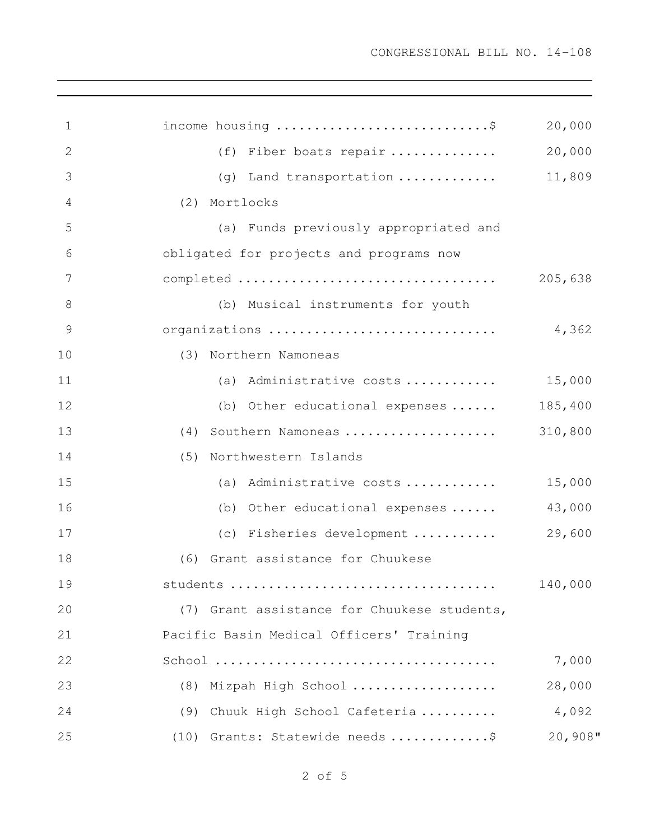| 1            | income housing \$                           | 20,000  |
|--------------|---------------------------------------------|---------|
| $\mathbf{2}$ | (f) Fiber boats repair                      | 20,000  |
| 3            | (g) Land transportation                     | 11,809  |
| 4            | Mortlocks<br>(2)                            |         |
| 5            | (a) Funds previously appropriated and       |         |
| 6            | obligated for projects and programs now     |         |
| 7            |                                             | 205,638 |
| 8            | (b) Musical instruments for youth           |         |
| 9            | organizations                               | 4,362   |
| 10           | Northern Namoneas<br>(3)                    |         |
| 11           | (a) Administrative costs $15,000$           |         |
| 12           | (b) Other educational expenses              | 185,400 |
| 13           | Southern Namoneas<br>(4)                    | 310,800 |
| 14           | Northwestern Islands<br>(5)                 |         |
| 15           | (a) Administrative costs                    | 15,000  |
| 16           | (b) Other educational expenses              | 43,000  |
| 17           | (c) Fisheries development                   | 29,600  |
| 18           | (6) Grant assistance for Chuukese           |         |
| 19           |                                             | 140,000 |
| 20           | (7) Grant assistance for Chuukese students, |         |
| 21           | Pacific Basin Medical Officers' Training    |         |
| 22           |                                             | 7,000   |
| 23           | (8) Mizpah High School                      | 28,000  |
| 24           | (9) Chuuk High School Cafeteria             | 4,092   |
| 25           | (10) Grants: Statewide needs \$             | 20,908" |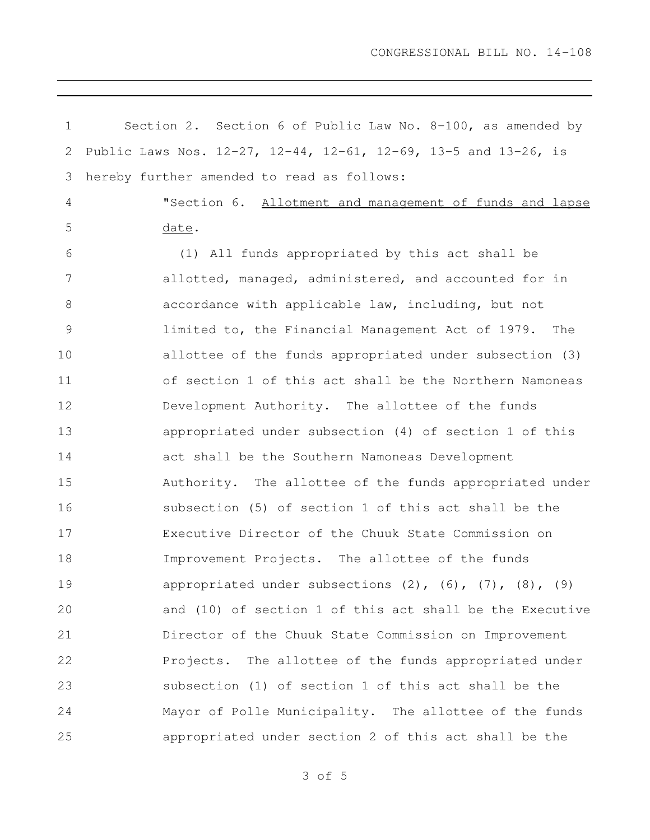| 1             | Section 2. Section 6 of Public Law No. $8-100$ , as amended by       |
|---------------|----------------------------------------------------------------------|
| 2             | Public Laws Nos. 12-27, 12-44, 12-61, 12-69, 13-5 and 13-26, is      |
| 3             | hereby further amended to read as follows:                           |
| 4             | "Section 6. Allotment and management of funds and lapse              |
| 5             | date.                                                                |
| 6             | (1) All funds appropriated by this act shall be                      |
| 7             | allotted, managed, administered, and accounted for in                |
| 8             | accordance with applicable law, including, but not                   |
| $\mathcal{G}$ | limited to, the Financial Management Act of 1979. The                |
| 10            | allottee of the funds appropriated under subsection (3)              |
| 11            | of section 1 of this act shall be the Northern Namoneas              |
| 12            | Development Authority. The allottee of the funds                     |
| 13            | appropriated under subsection (4) of section 1 of this               |
| 14            | act shall be the Southern Namoneas Development                       |
| 15            | Authority. The allottee of the funds appropriated under              |
| 16            | subsection (5) of section 1 of this act shall be the                 |
| 17            | Executive Director of the Chuuk State Commission on                  |
| 18            | Improvement Projects. The allottee of the funds                      |
| 19            | appropriated under subsections $(2)$ , $(6)$ , $(7)$ , $(8)$ , $(9)$ |
| 20            | and (10) of section 1 of this act shall be the Executive             |
| 21            | Director of the Chuuk State Commission on Improvement                |
| 22            | Projects. The allottee of the funds appropriated under               |
| 23            | subsection (1) of section 1 of this act shall be the                 |
| 24            | Mayor of Polle Municipality. The allottee of the funds               |
| 25            | appropriated under section 2 of this act shall be the                |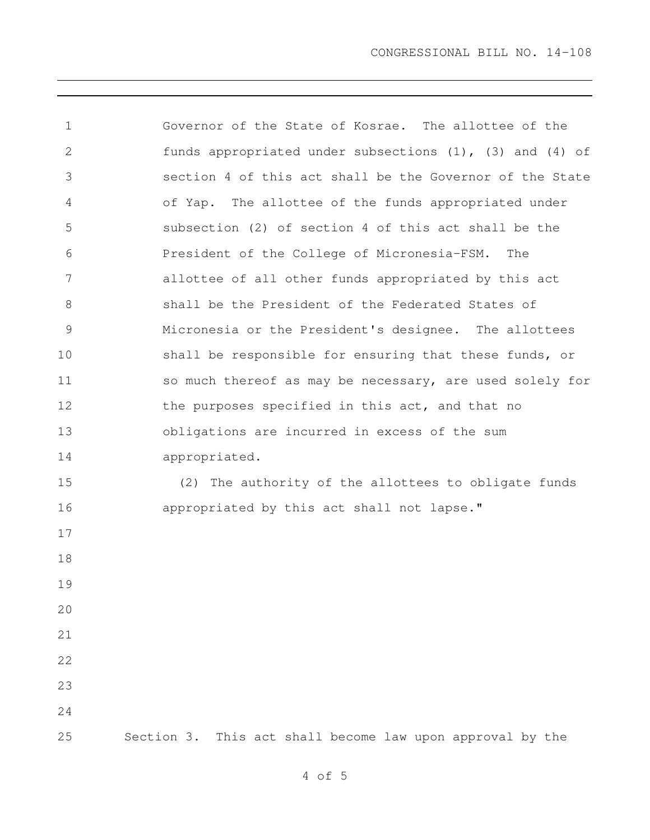Governor of the State of Kosrae. The allottee of the funds appropriated under subsections (1), (3) and (4) of section 4 of this act shall be the Governor of the State of Yap. The allottee of the funds appropriated under subsection (2) of section 4 of this act shall be the President of the College of Micronesia-FSM. The allottee of all other funds appropriated by this act shall be the President of the Federated States of Micronesia or the President's designee. The allottees 10 shall be responsible for ensuring that these funds, or so much thereof as may be necessary, are used solely for 12 the purposes specified in this act, and that no obligations are incurred in excess of the sum appropriated. (2) The authority of the allottees to obligate funds 16 appropriated by this act shall not lapse." Section 3. This act shall become law upon approval by the